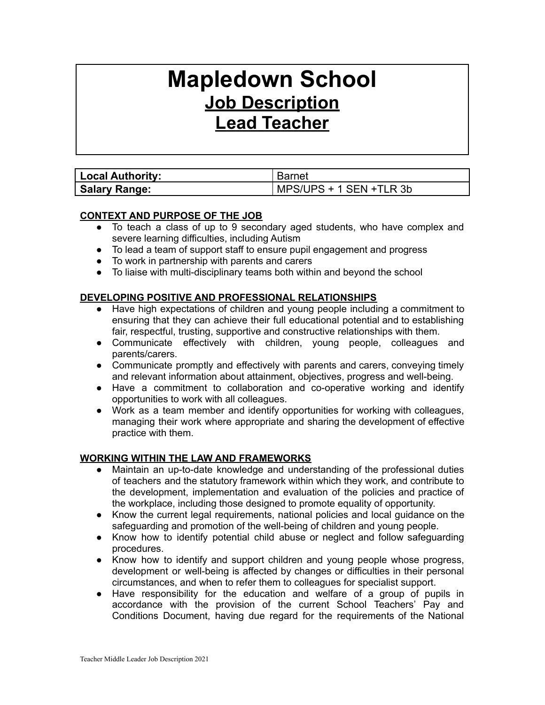# **Mapledown School Job Description Lead Teacher**

| <b>Local Authority:</b> | <b>Barnet</b>           |
|-------------------------|-------------------------|
| <b>Salary Range:</b>    | MPS/UPS + 1 SEN +TLR 3b |

### **CONTEXT AND PURPOSE OF THE JOB**

- To teach a class of up to 9 secondary aged students, who have complex and severe learning difficulties, including Autism
- To lead a team of support staff to ensure pupil engagement and progress
- To work in partnership with parents and carers
- To liaise with multi-disciplinary teams both within and beyond the school

# **DEVELOPING POSITIVE AND PROFESSIONAL RELATIONSHIPS**

- Have high expectations of children and young people including a commitment to ensuring that they can achieve their full educational potential and to establishing fair, respectful, trusting, supportive and constructive relationships with them.
- Communicate effectively with children, young people, colleagues and parents/carers.
- Communicate promptly and effectively with parents and carers, conveying timely and relevant information about attainment, objectives, progress and well-being.
- Have a commitment to collaboration and co-operative working and identify opportunities to work with all colleagues.
- Work as a team member and identify opportunities for working with colleagues, managing their work where appropriate and sharing the development of effective practice with them.

### **WORKING WITHIN THE LAW AND FRAMEWORKS**

- Maintain an up-to-date knowledge and understanding of the professional duties of teachers and the statutory framework within which they work, and contribute to the development, implementation and evaluation of the policies and practice of the workplace, including those designed to promote equality of opportunity.
- Know the current legal requirements, national policies and local guidance on the safeguarding and promotion of the well-being of children and young people.
- Know how to identify potential child abuse or neglect and follow safeguarding procedures.
- Know how to identify and support children and young people whose progress, development or well-being is affected by changes or difficulties in their personal circumstances, and when to refer them to colleagues for specialist support.
- Have responsibility for the education and welfare of a group of pupils in accordance with the provision of the current School Teachers' Pay and Conditions Document, having due regard for the requirements of the National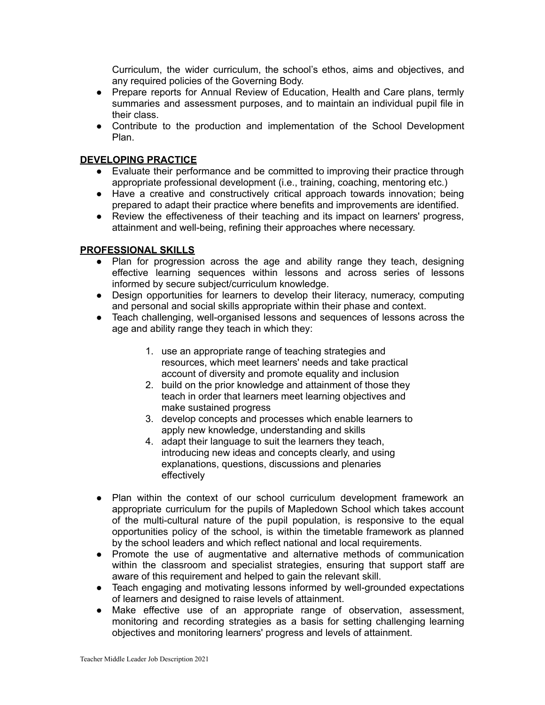Curriculum, the wider curriculum, the school's ethos, aims and objectives, and any required policies of the Governing Body.

- Prepare reports for Annual Review of Education, Health and Care plans, termly summaries and assessment purposes, and to maintain an individual pupil file in their class.
- Contribute to the production and implementation of the School Development Plan.

### **DEVELOPING PRACTICE**

- Evaluate their performance and be committed to improving their practice through appropriate professional development (i.e., training, coaching, mentoring etc.)
- Have a creative and constructively critical approach towards innovation; being prepared to adapt their practice where benefits and improvements are identified.
- Review the effectiveness of their teaching and its impact on learners' progress, attainment and well-being, refining their approaches where necessary.

#### **PROFESSIONAL SKILLS**

- Plan for progression across the age and ability range they teach, designing effective learning sequences within lessons and across series of lessons informed by secure subject/curriculum knowledge.
- Design opportunities for learners to develop their literacy, numeracy, computing and personal and social skills appropriate within their phase and context.
- Teach challenging, well-organised lessons and sequences of lessons across the age and ability range they teach in which they:
	- 1. use an appropriate range of teaching strategies and resources, which meet learners' needs and take practical account of diversity and promote equality and inclusion
	- 2. build on the prior knowledge and attainment of those they teach in order that learners meet learning objectives and make sustained progress
	- 3. develop concepts and processes which enable learners to apply new knowledge, understanding and skills
	- 4. adapt their language to suit the learners they teach, introducing new ideas and concepts clearly, and using explanations, questions, discussions and plenaries effectively
- Plan within the context of our school curriculum development framework an appropriate curriculum for the pupils of Mapledown School which takes account of the multi-cultural nature of the pupil population, is responsive to the equal opportunities policy of the school, is within the timetable framework as planned by the school leaders and which reflect national and local requirements.
- Promote the use of augmentative and alternative methods of communication within the classroom and specialist strategies, ensuring that support staff are aware of this requirement and helped to gain the relevant skill.
- Teach engaging and motivating lessons informed by well-grounded expectations of learners and designed to raise levels of attainment.
- Make effective use of an appropriate range of observation, assessment, monitoring and recording strategies as a basis for setting challenging learning objectives and monitoring learners' progress and levels of attainment.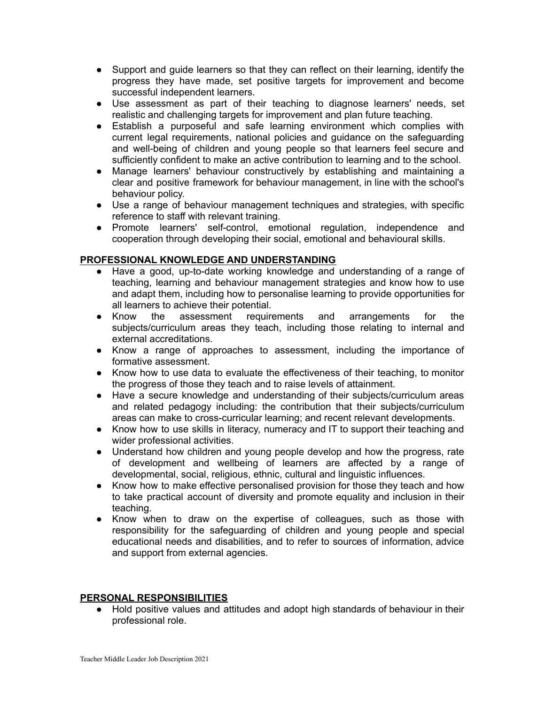- Support and guide learners so that they can reflect on their learning, identify the progress they have made, set positive targets for improvement and become successful independent learners.
- Use assessment as part of their teaching to diagnose learners' needs, set realistic and challenging targets for improvement and plan future teaching.
- Establish a purposeful and safe learning environment which complies with current legal requirements, national policies and guidance on the safeguarding and well-being of children and young people so that learners feel secure and sufficiently confident to make an active contribution to learning and to the school.
- Manage learners' behaviour constructively by establishing and maintaining a clear and positive framework for behaviour management, in line with the school's behaviour policy.
- Use a range of behaviour management techniques and strategies, with specific reference to staff with relevant training.
- Promote learners' self-control, emotional regulation, independence and cooperation through developing their social, emotional and behavioural skills.

### **PROFESSIONAL KNOWLEDGE AND UNDERSTANDING**

- Have a good, up-to-date working knowledge and understanding of a range of teaching, learning and behaviour management strategies and know how to use and adapt them, including how to personalise learning to provide opportunities for all learners to achieve their potential.
- Know the assessment requirements and arrangements for the subjects/curriculum areas they teach, including those relating to internal and external accreditations.
- Know a range of approaches to assessment, including the importance of formative assessment.
- Know how to use data to evaluate the effectiveness of their teaching, to monitor the progress of those they teach and to raise levels of attainment.
- Have a secure knowledge and understanding of their subjects/curriculum areas and related pedagogy including: the contribution that their subjects/curriculum areas can make to cross-curricular learning; and recent relevant developments.
- Know how to use skills in literacy, numeracy and IT to support their teaching and wider professional activities.
- Understand how children and young people develop and how the progress, rate of development and wellbeing of learners are affected by a range of developmental, social, religious, ethnic, cultural and linguistic influences.
- Know how to make effective personalised provision for those they teach and how to take practical account of diversity and promote equality and inclusion in their teaching.
- Know when to draw on the expertise of colleagues, such as those with responsibility for the safeguarding of children and young people and special educational needs and disabilities, and to refer to sources of information, advice and support from external agencies.

### **PERSONAL RESPONSIBILITIES**

● Hold positive values and attitudes and adopt high standards of behaviour in their professional role.